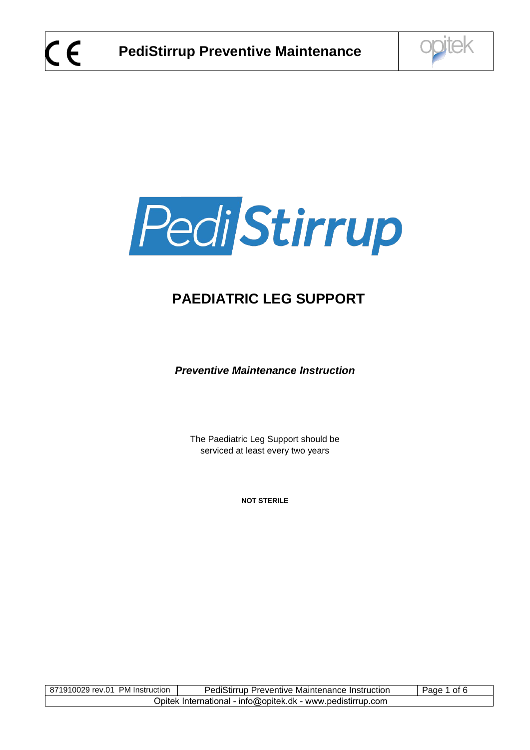



# **PAEDIATRIC LEG SUPPORT**

*Preventive Maintenance Instruction* 

The Paediatric Leg Support should be serviced at least every two years

**NOT STERILE** 

| 871910029 rev.01 PM Instruction                             | <b>PediStirrup Preventive Maintenance Instruction</b> | ot 6<br>Page |  |
|-------------------------------------------------------------|-------------------------------------------------------|--------------|--|
| Opitek International - info@opitek.dk - www.pedistirrup.com |                                                       |              |  |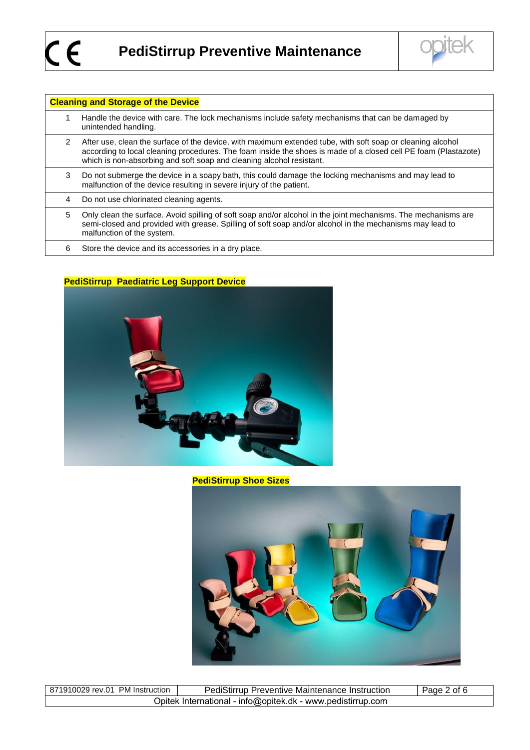

| <b>Cleaning and Storage of the Device</b> |                                                                                                                                                                                                                                                                                                       |  |  |
|-------------------------------------------|-------------------------------------------------------------------------------------------------------------------------------------------------------------------------------------------------------------------------------------------------------------------------------------------------------|--|--|
|                                           | Handle the device with care. The lock mechanisms include safety mechanisms that can be damaged by<br>unintended handling.                                                                                                                                                                             |  |  |
| 2                                         | After use, clean the surface of the device, with maximum extended tube, with soft soap or cleaning alcohol<br>according to local cleaning procedures. The foam inside the shoes is made of a closed cell PE foam (Plastazote)<br>which is non-absorbing and soft soap and cleaning alcohol resistant. |  |  |
| 3                                         | Do not submerge the device in a soapy bath, this could damage the locking mechanisms and may lead to<br>malfunction of the device resulting in severe injury of the patient.                                                                                                                          |  |  |
| 4                                         | Do not use chlorinated cleaning agents.                                                                                                                                                                                                                                                               |  |  |
| 5                                         | Only clean the surface. Avoid spilling of soft soap and/or alcohol in the joint mechanisms. The mechanisms are<br>semi-closed and provided with grease. Spilling of soft soap and/or alcohol in the mechanisms may lead to<br>malfunction of the system.                                              |  |  |
| 6                                         | Store the device and its accessories in a dry place.                                                                                                                                                                                                                                                  |  |  |

## **PediStirrup Paediatric Leg Support Device**



**PediStirrup Shoe Sizes**



| 871910029 rev.01 PM Instruction                             | <b>PediStirrup Preventive Maintenance Instruction</b> | Page 2 of 6 |  |  |
|-------------------------------------------------------------|-------------------------------------------------------|-------------|--|--|
| Opitek International - info@opitek.dk - www.pedistirrup.com |                                                       |             |  |  |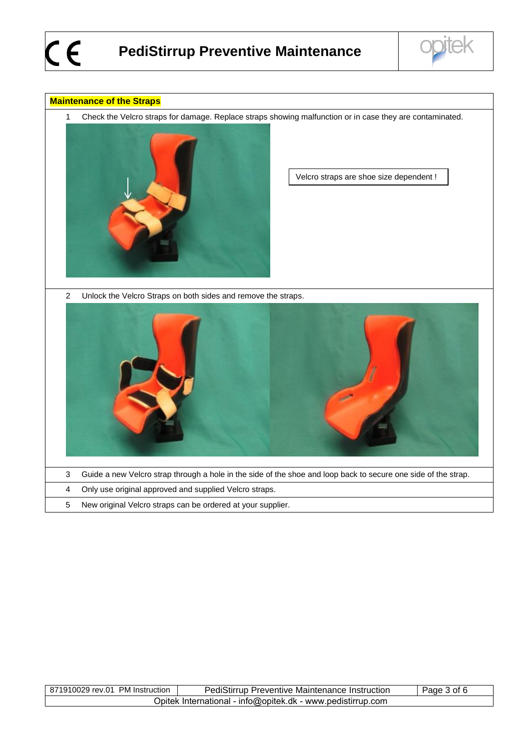

#### **Maintenance of the Straps**

1 Check the Velcro straps for damage. Replace straps showing malfunction or in case they are contaminated.



Velcro straps are shoe size dependent !

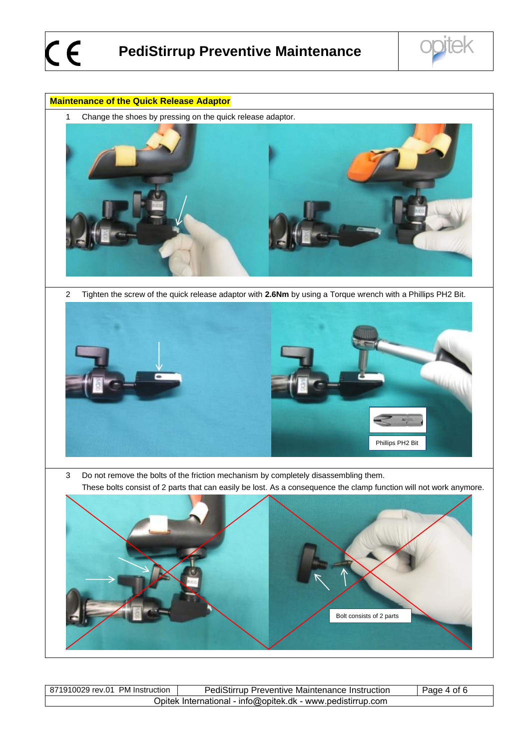#### **Maintenance of the Quick Release Adaptor**

1 Change the shoes by pressing on the quick release adaptor.



2 Tighten the screw of the quick release adaptor with **2.6Nm** by using a Torque wrench with a Phillips PH2 Bit.



3 Do not remove the bolts of the friction mechanism by completely disassembling them. These bolts consist of 2 parts that can easily be lost. As a consequence the clamp function will not work anymore.

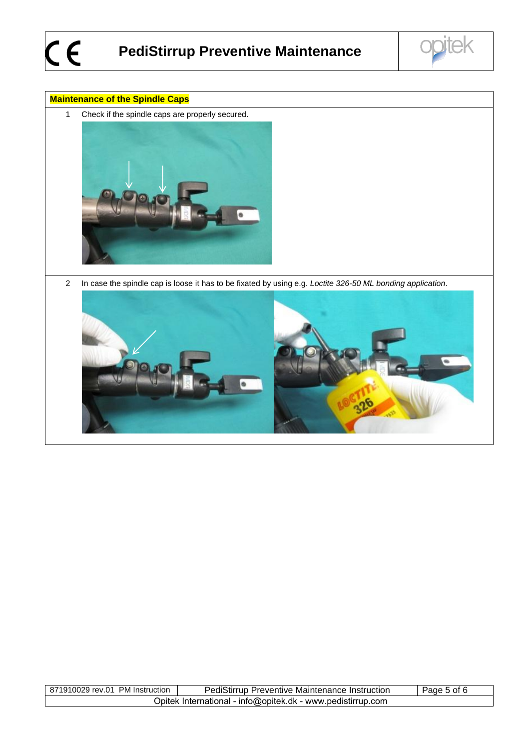

### **Maintenance of the Spindle Caps**

1 Check if the spindle caps are properly secured.



2 In case the spindle cap is loose it has to be fixated by using e.g. *Loctite 326-50 ML bonding application*.